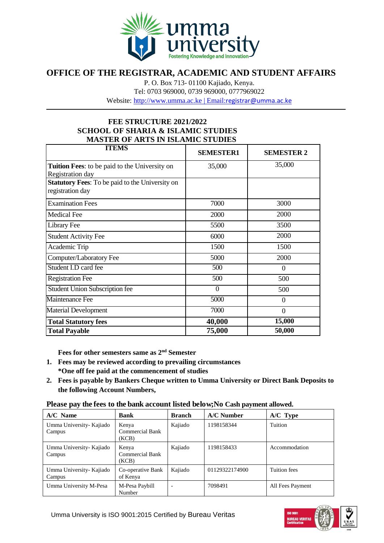

## **OFFICE OF THE REGISTRAR, ACADEMIC AND STUDENT AFFAIRS**

P. O. Box 713- 01100 Kajiado, Kenya.

Tel: 0703 969000, 0739 969000, 0777969022

Website: [http://www.umma.ac.ke](http://www.umma.ac.ke/) | Email:[registrar@umma.ac.ke](mailto:registrar@umma.ac.ke)

## **FEE STRUCTURE 2021/2022 SCHOOL OF SHARIA & ISLAMIC STUDIES MASTER OF ARTS IN ISLAMIC STUDIES**

| <b>ITEMS</b>                                                               | <b>SEMESTER1</b> | <b>SEMESTER 2</b> |
|----------------------------------------------------------------------------|------------------|-------------------|
| Tuition Fees: to be paid to the University on<br>Registration day          | 35,000           | 35,000            |
| <b>Statutory Fees:</b> To be paid to the University on<br>registration day |                  |                   |
| <b>Examination Fees</b>                                                    | 7000             | 3000              |
| <b>Medical Fee</b>                                                         | 2000             | 2000              |
| Library Fee                                                                | 5500             | 3500              |
| <b>Student Activity Fee</b>                                                | 6000             | 2000              |
| Academic Trip                                                              | 1500             | 1500              |
| Computer/Laboratory Fee                                                    | 5000             | 2000              |
| Student I.D card fee                                                       | 500              | $\theta$          |
| <b>Registration Fee</b>                                                    | 500              | 500               |
| <b>Student Union Subscription fee</b>                                      | $\theta$         | 500               |
| <b>Maintenance Fee</b>                                                     | 5000             | $\theta$          |
| <b>Material Development</b>                                                | 7000             | $\theta$          |
| <b>Total Statutory fees</b>                                                | 40,000           | 15,000            |
| <b>Total Payable</b>                                                       | 75,000           | 50,000            |

**Fees for other semesters same as 2nd Semester**

- **1. Fees may be reviewed according to prevailing circumstances \*One off fee paid at the commencement of studies**
- **2. Fees is payable by Bankers Cheque written to Umma University or Direct Bank Deposits to the following Account Numbers,**

**Please pay the fees to the bank account listed below;No Cash payment allowed.**

| $A/C$ Name                         | <b>Bank</b>                              | <b>Branch</b> | $A/C$ Number   | $A/C$ Type       |
|------------------------------------|------------------------------------------|---------------|----------------|------------------|
| Umma University- Kajiado<br>Campus | Kenya<br><b>Commercial Bank</b><br>(KCB) | Kajiado       | 1198158344     | Tuition          |
| Umma University- Kajiado<br>Campus | Kenya<br>Commercial Bank<br>(KCB)        | Kajiado       | 1198158433     | Accommodation    |
| Umma University- Kajiado<br>Campus | Co-operative Bank<br>of Kenya            | Kajiado       | 01129322174900 | Tuition fees     |
| Umma University M-Pesa             | M-Pesa Paybill<br>Number                 |               | 7098491        | All Fees Payment |